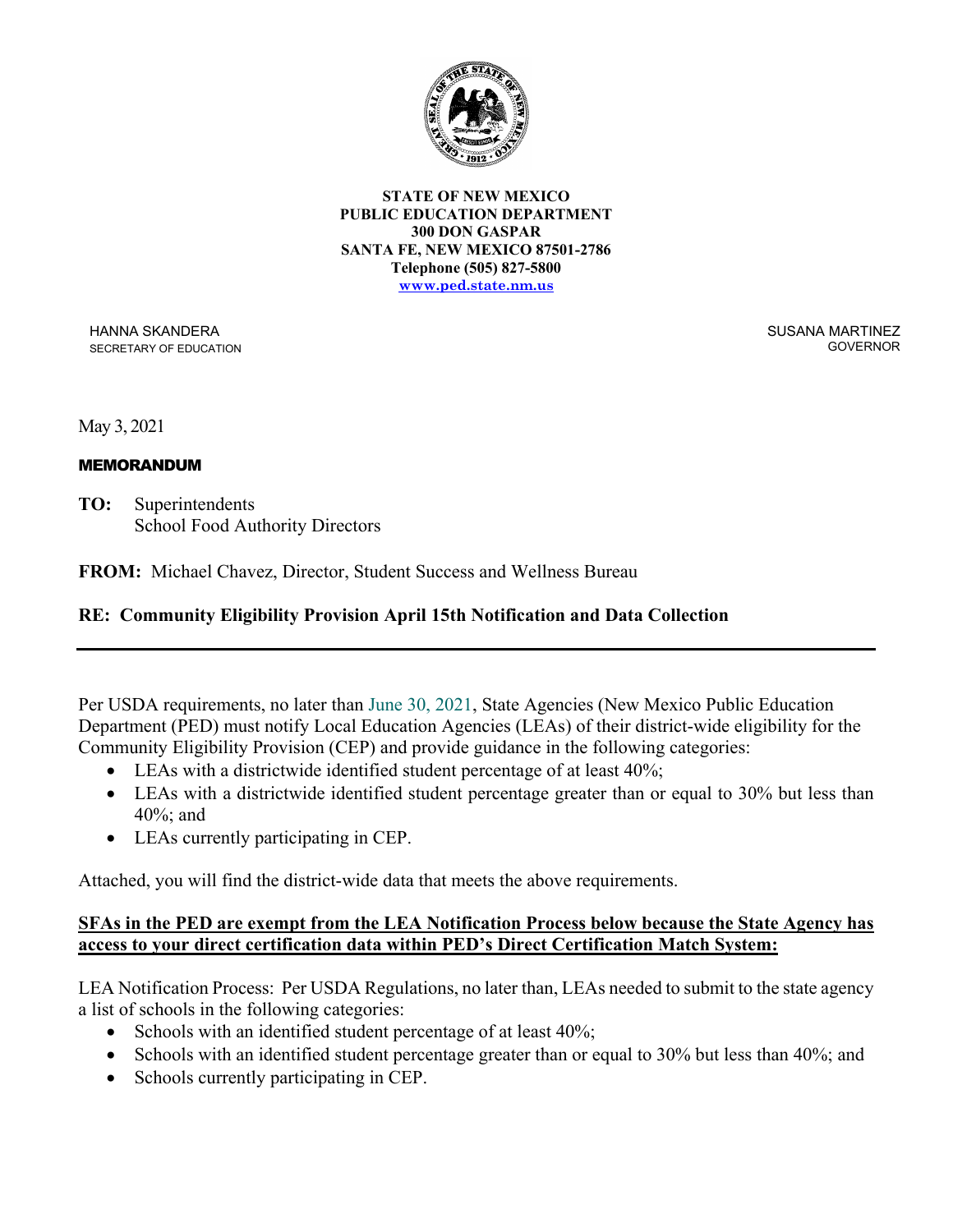

**STATE OF NEW MEXICO PUBLIC EDUCATION DEPARTMENT 300 DON GASPAR SANTA FE, NEW MEXICO 87501-2786 Telephone (505) 827-5800 [www.ped.state.nm.us](http://www.sde.state.nm.us/)**

HANNA SKANDERA SECRETARY OF EDUCATION SUSANA MARTINEZ GOVERNOR

May 3, 2021

## MEMORANDUM

**TO:** Superintendents School Food Authority Directors

**FROM:** Michael Chavez, Director, Student Success and Wellness Bureau

## **RE: Community Eligibility Provision April 15th Notification and Data Collection**

Per USDA requirements, no later than June 30, 2021, State Agencies (New Mexico Public Education Department (PED) must notify Local Education Agencies (LEAs) of their district-wide eligibility for the Community Eligibility Provision (CEP) and provide guidance in the following categories:

- LEAs with a districtwide identified student percentage of at least 40%;
- LEAs with a districtwide identified student percentage greater than or equal to 30% but less than 40%; and
- LEAs currently participating in CEP.

Attached, you will find the district-wide data that meets the above requirements.

## **SFAs in the PED are exempt from the LEA Notification Process below because the State Agency has access to your direct certification data within PED's Direct Certification Match System:**

LEA Notification Process: Per USDA Regulations, no later than, LEAs needed to submit to the state agency a list of schools in the following categories:

- Schools with an identified student percentage of at least  $40\%$ ;
- Schools with an identified student percentage greater than or equal to 30% but less than 40%; and
- Schools currently participating in CEP.